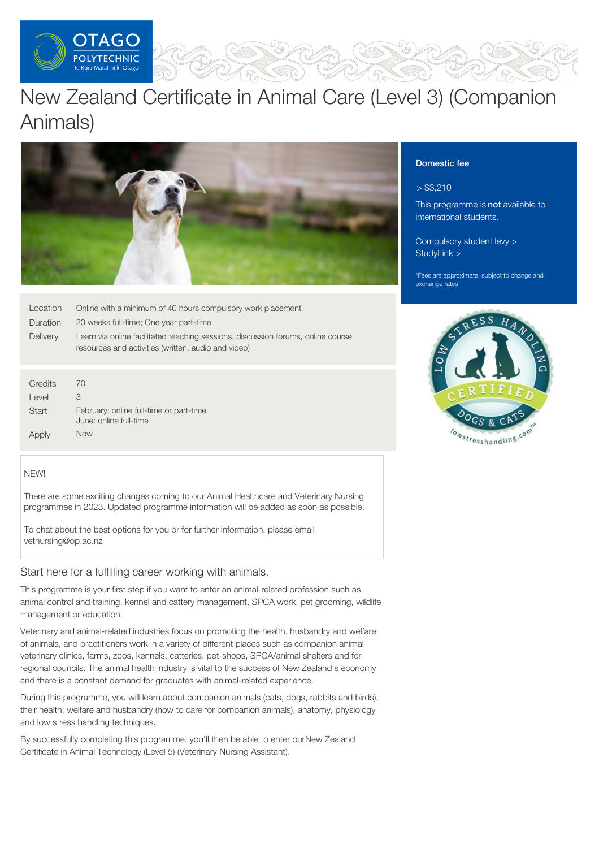

# New Zealand Certificate in Animal Care (Level 3) (Companion Animals)



| Location         | Online with a minimum of 40 hours compulsory work placement                                                                             |
|------------------|-----------------------------------------------------------------------------------------------------------------------------------------|
| Duration         | 20 weeks full-time; One year part-time                                                                                                  |
| Delivery         | Learn via online facilitated teaching sessions, discussion forums, online course<br>resources and activities (written, audio and video) |
|                  |                                                                                                                                         |
| Credits<br>Level | 70<br>3                                                                                                                                 |
| Start            | February: online full-time or part-time<br>June: online full-time                                                                       |

Apply

Now

#### NEW!

There are some exciting changes coming to our Animal Healthcare and Veterinary Nursing programmes in 2023. Updated programme information will be added as soon as possible.

To chat about the best options for you or for further information, please email vetnursing@op.ac.nz

# Start here for a fulfilling career working with animals.

This programme is your first step if you want to enter an animal-related profession such as animal control and training, kennel and cattery management, SPCA work, pet grooming, wildlife management or education.

Veterinary and animal-related industries focus on promoting the health, husbandry and welfare of animals, and practitioners work in a variety of different places such as companion animal veterinary clinics, farms, zoos, kennels, catteries, pet-shops, SPCA/animal shelters and for regional councils. The animal health industry is vital to the success of New Zealand's economy and there is a constant demand for graduates with animal-related experience.

During this programme, you will learn about companion animals (cats, dogs, rabbits and birds), their health, welfare and husbandry (how to care for companion animals), anatomy, physiology and low stress handling techniques.

By successfully completing this programme, you'll then be able to enter ourNew Zealand Certificate in Animal Technology (Level 5) (Veterinary Nursing Assistant).

# Domestic fee

# $> $3,210$

This programme is not available to international students.

[Compulsory](https://online.op.ac.nz/students/important-information/student-services-levy/) student levy > [StudyLink](https://www.studylink.govt.nz/) >

\*Fees are approximate, subject to change and exchange rates

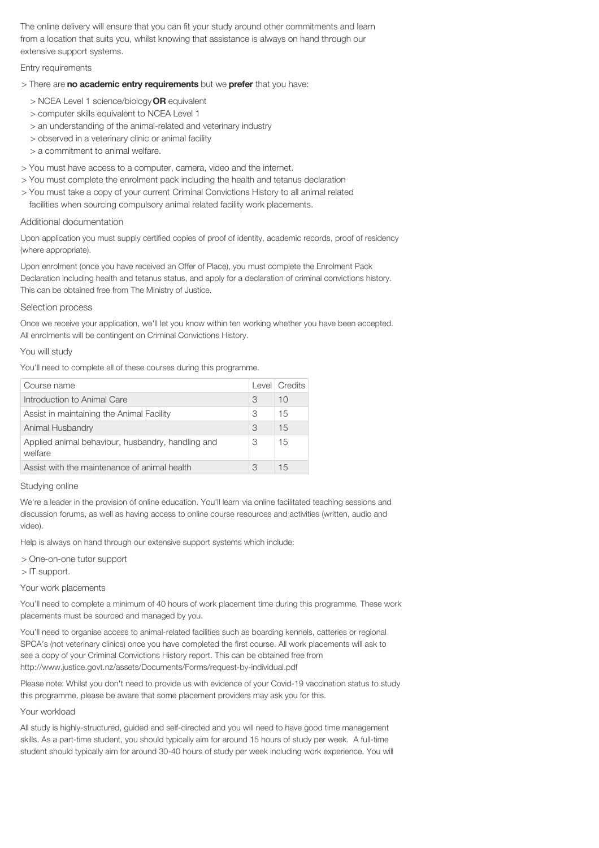The online delivery will ensure that you can fit your study around other commitments and learn from a location that suits you, whilst knowing that assistance is always on hand through our extensive support systems.

Entry requirements

- > There are no academic entry requirements but we prefer that you have:
	- > NCEA Level 1 science/biology OR equivalent
	- > computer skills equivalent to NCEA Level 1
	- > an understanding of the animal-related and veterinary industry
	- > observed in a veterinary clinic or animal facility
	- > a commitment to animal welfare.
- > You must have access to a computer, camera, video and the internet.
- > You must complete the enrolment pack including the health and tetanus declaration
- > You must take a copy of your current Criminal Convictions History to all animal related
- facilities when sourcing compulsory animal related facility work placements.

#### Additional documentation

Upon application you must supply certified copies of proof of identity, academic records, proof of residency (where appropriate).

Upon enrolment (once you have received an Offer of Place), you must complete the Enrolment Pack Declaration including health and tetanus status, and apply for a declaration of criminal convictions history. This can be obtained free from The Ministry of Justice.

#### Selection process

Once we receive your application, we'll let you know within ten working whether you have been accepted. All enrolments will be contingent on Criminal Convictions History.

#### You will study

You'll need to complete all of these courses during this programme.

|   | Level   Credits |
|---|-----------------|
| 3 | 10              |
| 3 | 15              |
| 3 | 15              |
| 3 | 15              |
| 3 | 15              |
|   |                 |

#### Studying online

We're a leader in the provision of online education. You'll learn via online facilitated teaching sessions and discussion forums, as well as having access to online course resources and activities (written, audio and video).

Help is always on hand through our extensive support systems which include:

> One-on-one tutor support

> IT support.

#### Your work placements

You'll need to complete a minimum of 40 hours of work placement time during this programme. These work placements must be sourced and managed by you.

You'll need to organise access to animal-related facilities such as boarding kennels, catteries or regional SPCA's (not veterinary clinics) once you have completed the first course. All work placements will ask to see a copy of your Criminal Convictions History report. This can be obtained free from http://www.justice.govt.nz/assets/Documents/Forms/request-by-individual.pdf

Please note: Whilst you don't need to provide us with evidence of your Covid-19 vaccination status to study this programme, please be aware that some placement providers may ask you for this.

### Your workload

All study is highly-structured, guided and self-directed and you will need to have good time management skills. As a part-time student, you should typically aim for around 15 hours of study per week. A full-time student should typically aim for around 30-40 hours of study per week including work experience. You will